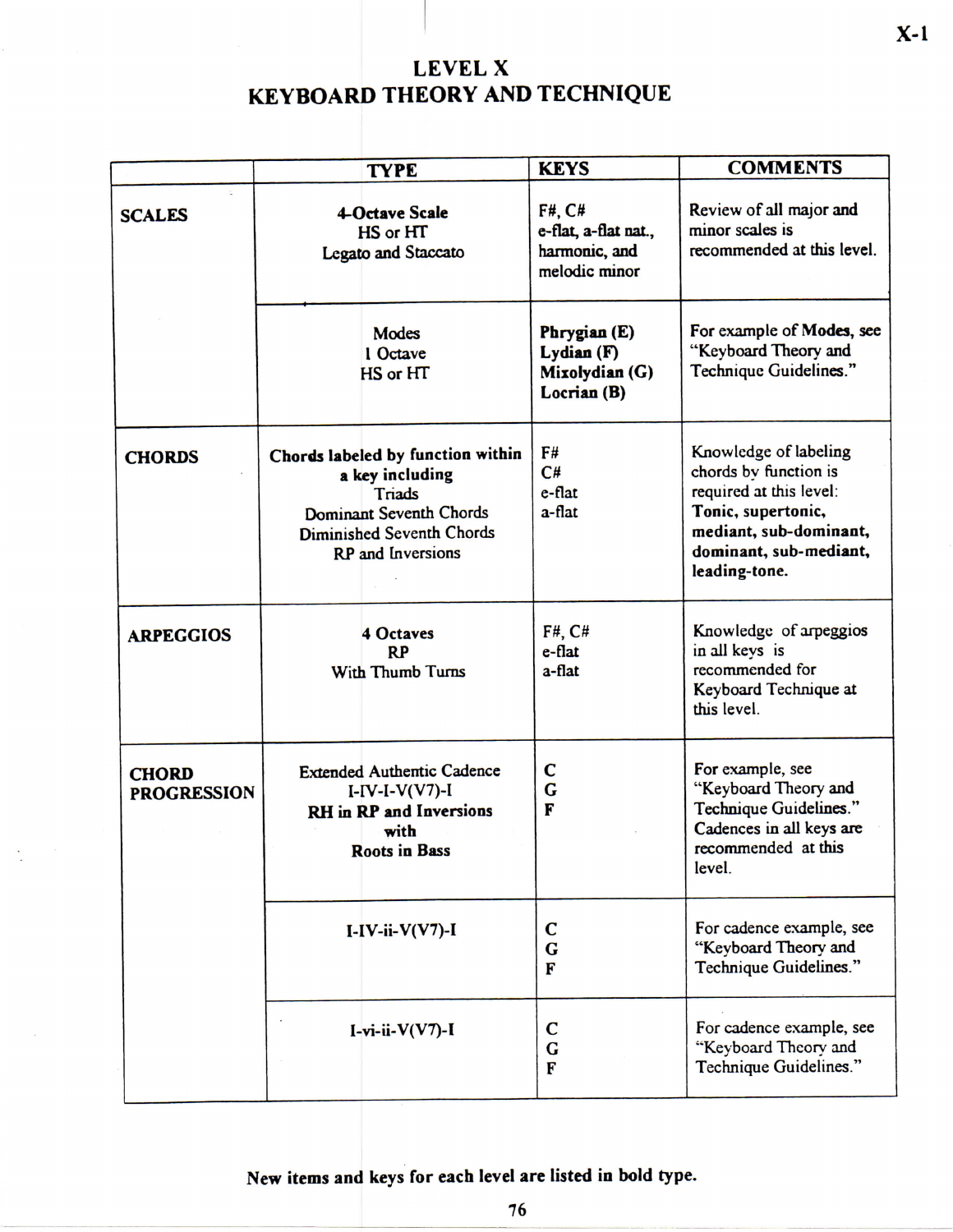## **LEVE L X KEYBOARD THEORY AND TECHNIQUE**

|                                    | <b>TYPE</b>                                                                                                                                                      | <b>KEYS</b>                                                      | <b>COMMENTS</b>                                                                                                                                                      |  |  |  |
|------------------------------------|------------------------------------------------------------------------------------------------------------------------------------------------------------------|------------------------------------------------------------------|----------------------------------------------------------------------------------------------------------------------------------------------------------------------|--|--|--|
| <b>SCALES</b>                      | <b>4-Octave Scale</b><br>HS or HT<br><b>Legato and Staccato</b>                                                                                                  | F#, C#<br>e-flat, a-flat nat.,<br>harmonic, and<br>melodic minor | Review of all major and<br>minor scales is<br>recommended at this level.                                                                                             |  |  |  |
|                                    | Modes<br>1 Octave<br>HS or HT                                                                                                                                    | Phrygian (E)<br>Lydian (F)<br>Mixolydian (G)<br>Locrian (B)      | For example of Modes, see<br>"Keyboard Theory and<br>Technique Guidelines."                                                                                          |  |  |  |
| <b>CHORDS</b>                      | Chords labeled by function within<br>a key including<br>Triads<br><b>Dominant Seventh Chords</b><br><b>Diminished Seventh Chords</b><br><b>RP</b> and Inversions | F#<br>C#<br>e-flat<br>a-flat                                     | Knowledge of labeling<br>chords by function is<br>required at this level:<br>Tonic, supertonic,<br>mediant, sub-dominant,<br>dominant, sub-mediant,<br>leading-tone. |  |  |  |
| <b>ARPEGGIOS</b>                   | <b>4 Octaves</b><br><b>RP</b><br>With Thumb Turns                                                                                                                | $F#$ , $C#$<br>e-flat<br>a-flat                                  | Knowledge of arpeggios<br>in all keys is<br>recommended for<br>Keyboard Technique at<br>this level.                                                                  |  |  |  |
| <b>CHORD</b><br><b>PROGRESSION</b> | <b>Extended Authentic Cadence</b><br>$I-IV-I-V(V7)-I$<br><b>RH</b> in RP and Inversions<br>with<br><b>Roots in Bass</b>                                          | $\mathbf c$<br>$\overline{G}$<br>F                               | For example, see<br>"Keyboard Theory and<br>Technique Guidelines."<br>Cadences in all keys are<br>recommended at this<br>level.                                      |  |  |  |
|                                    | $I-IV-ii-V(V7)-I$                                                                                                                                                | $\mathbf C$<br>G<br>F                                            | For cadence example, see<br>"Keyboard Theory and<br>Technique Guidelines."                                                                                           |  |  |  |
|                                    | I-vi-ii- $V(V7)$ -I                                                                                                                                              | $\mathbf C$<br>$\overline{G}$<br>F                               | For cadence example, see<br>"Keyboard Theory and<br>Technique Guidelines."                                                                                           |  |  |  |

New items and keys for each level are listed in bold type.